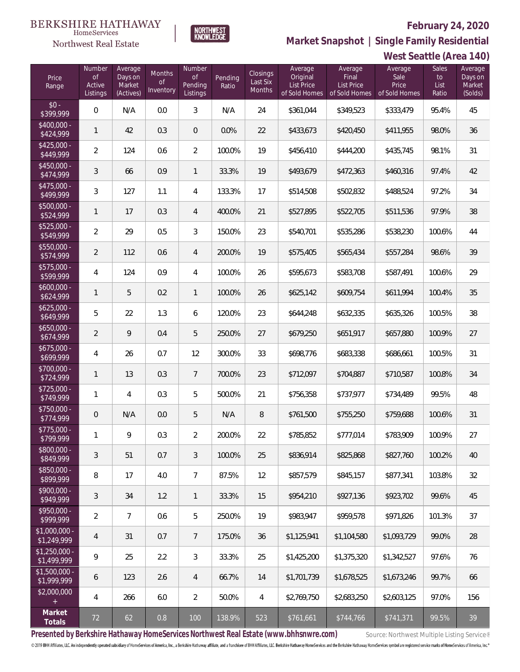**West Seattle (Area 140)**



**Market Snapshot | Single Family Residential**

### **BERKSHIRE HATHAWAY** HomeServices

Northwest Real Estate

| Price<br>Range                | Number<br><b>of</b><br>Active<br>Listings | Average<br>Days on<br>Market<br>(Actives) | Months<br><b>of</b><br>Inventory | Number<br>of<br>Pending<br>Listings | Pending<br>Ratio | Closings<br>Last Six<br>Months | Average<br>Original<br><b>List Price</b><br>of Sold Homes | Average<br>Final<br><b>List Price</b><br>of Sold Homes | Average<br>Sale<br>Price<br>of Sold Homes | Sales<br>to<br>List<br>Ratio | Average<br>Days on<br>Market<br>(Solds) |
|-------------------------------|-------------------------------------------|-------------------------------------------|----------------------------------|-------------------------------------|------------------|--------------------------------|-----------------------------------------------------------|--------------------------------------------------------|-------------------------------------------|------------------------------|-----------------------------------------|
| $$0 -$<br>\$399,999           | $\overline{0}$                            | N/A                                       | 0.0                              | 3                                   | N/A              | 24                             | \$361,044                                                 | \$349,523                                              | \$333,479                                 | 95.4%                        | 45                                      |
| \$400,000 -<br>\$424,999      | $\mathbf{1}$                              | 42                                        | 0.3                              | $\mathbf{0}$                        | 0.0%             | 22                             | \$433,673                                                 | \$420,450                                              | \$411,955                                 | 98.0%                        | 36                                      |
| $$425,000 -$<br>\$449,999     | $\overline{2}$                            | 124                                       | 0.6                              | $\overline{2}$                      | 100.0%           | 19                             | \$456,410                                                 | \$444,200                                              | \$435,745                                 | 98.1%                        | 31                                      |
| $$450,000 -$<br>\$474,999     | $\mathfrak{Z}$                            | 66                                        | 0.9                              | $\mathbf{1}$                        | 33.3%            | 19                             | \$493,679                                                 | \$472,363                                              | \$460,316                                 | 97.4%                        | 42                                      |
| \$475,000 -<br>\$499,999      | $\mathfrak{Z}$                            | 127                                       | 1.1                              | 4                                   | 133.3%           | 17                             | \$514,508                                                 | \$502,832                                              | \$488,524                                 | 97.2%                        | 34                                      |
| \$500,000 -<br>\$524,999      | $\mathbf{1}$                              | 17                                        | 0.3                              | 4                                   | 400.0%           | 21                             | \$527,895                                                 | \$522,705                                              | \$511,536                                 | 97.9%                        | 38                                      |
| \$525,000 -<br>\$549,999      | $\overline{2}$                            | 29                                        | 0.5                              | 3                                   | 150.0%           | 23                             | \$540,701                                                 | \$535,286                                              | \$538,230                                 | 100.6%                       | 44                                      |
| \$550,000 -<br>\$574,999      | $\overline{2}$                            | 112                                       | 0.6                              | 4                                   | 200.0%           | 19                             | \$575,405                                                 | \$565,434                                              | \$557,284                                 | 98.6%                        | 39                                      |
| \$575,000 -<br>\$599,999      | $\overline{4}$                            | 124                                       | 0.9                              | 4                                   | 100.0%           | 26                             | \$595,673                                                 | \$583,708                                              | \$587,491                                 | 100.6%                       | 29                                      |
| $$600,000 -$<br>\$624,999     | $\mathbf{1}$                              | 5                                         | 0.2                              | $\mathbf{1}$                        | 100.0%           | 26                             | \$625,142                                                 | \$609,754                                              | \$611,994                                 | 100.4%                       | 35                                      |
| $$625,000 -$<br>\$649,999     | 5                                         | 22                                        | 1.3                              | 6                                   | 120.0%           | 23                             | \$644,248                                                 | \$632,335                                              | \$635,326                                 | 100.5%                       | 38                                      |
| $$650,000 -$<br>\$674,999     | $\overline{2}$                            | 9                                         | 0.4                              | 5                                   | 250.0%           | 27                             | \$679,250                                                 | \$651,917                                              | \$657,880                                 | 100.9%                       | 27                                      |
| $$675,000 -$<br>\$699,999     | $\overline{4}$                            | 26                                        | 0.7                              | 12                                  | 300.0%           | 33                             | \$698,776                                                 | \$683,338                                              | \$686,661                                 | 100.5%                       | 31                                      |
| $$700,000 -$<br>\$724,999     | $\mathbf{1}$                              | 13                                        | 0.3                              | $\overline{7}$                      | 700.0%           | 23                             | \$712,097                                                 | \$704,887                                              | \$710,587                                 | 100.8%                       | 34                                      |
| $$725,000 -$<br>\$749,999     | $\mathbf{1}$                              | 4                                         | 0.3                              | 5                                   | 500.0%           | 21                             | \$756,358                                                 | \$737,977                                              | \$734,489                                 | 99.5%                        | 48                                      |
| $$750,000 -$<br>\$774,999     | $\overline{0}$                            | N/A                                       | 0.0                              | 5                                   | N/A              | 8                              | \$761,500                                                 | \$755,250                                              | \$759,688                                 | 100.6%                       | 31                                      |
| \$775,000 -<br>\$799,999      | $\mathbf{1}$                              | 9                                         | 0.3                              | $\overline{2}$                      | 200.0%           | 22                             | \$785,852                                                 | \$777,014                                              | \$783,909                                 | 100.9%                       | 27                                      |
| \$800,000 -<br>\$849,999      | $\sqrt{3}$                                | 51                                        | 0.7                              | 3                                   | 100.0%           | 25                             | \$836,914                                                 | \$825,868                                              | \$827,760                                 | 100.2%                       | 40                                      |
| \$850,000 -<br>\$899,999      | 8                                         | 17                                        | 4.0                              | $\overline{7}$                      | 87.5%            | 12                             | \$857,579                                                 | \$845,157                                              | \$877,341                                 | 103.8%                       | 32                                      |
| $$900,000 -$<br>\$949,999     | $\mathfrak{Z}$                            | 34                                        | 1.2                              | $\mathbf{1}$                        | 33.3%            | 15                             | \$954,210                                                 | \$927,136                                              | \$923,702                                 | 99.6%                        | 45                                      |
| \$950,000 -<br>\$999,999      | $\overline{2}$                            | $\overline{7}$                            | 0.6                              | 5                                   | 250.0%           | 19                             | \$983,947                                                 | \$959,578                                              | \$971,826                                 | 101.3%                       | 37                                      |
| $$1,000,000 -$<br>\$1,249,999 | $\overline{4}$                            | 31                                        | 0.7                              | $\overline{7}$                      | 175.0%           | 36                             | \$1,125,941                                               | \$1,104,580                                            | \$1,093,729                               | 99.0%                        | 28                                      |
| $$1,250,000 -$<br>\$1,499,999 | $\overline{9}$                            | 25                                        | 2.2                              | 3                                   | 33.3%            | 25                             | \$1,425,200                                               | \$1,375,320                                            | \$1,342,527                               | 97.6%                        | 76                                      |
| $$1,500,000 -$<br>\$1,999,999 | 6                                         | 123                                       | 2.6                              | $\overline{4}$                      | 66.7%            | 14                             | \$1,701,739                                               | \$1,678,525                                            | \$1,673,246                               | 99.7%                        | 66                                      |
| \$2,000,000<br>$\pm$          | $\overline{4}$                            | 266                                       | 6.0                              | $\overline{2}$                      | 50.0%            | 4                              | \$2,769,750                                               | \$2,683,250                                            | \$2,603,125                               | 97.0%                        | 156                                     |
| Market<br>Totals              | 72                                        | 62                                        | 0.8                              | 100                                 | 138.9%           | 523                            | \$761,661                                                 | \$744,766                                              | \$741,371                                 | 99.5%                        | 39                                      |

Presented by Berkshire Hathaway HomeServices Northwest Real Estate (www.bhhsnwre.com) Source: Northwest Multiple Listing Service®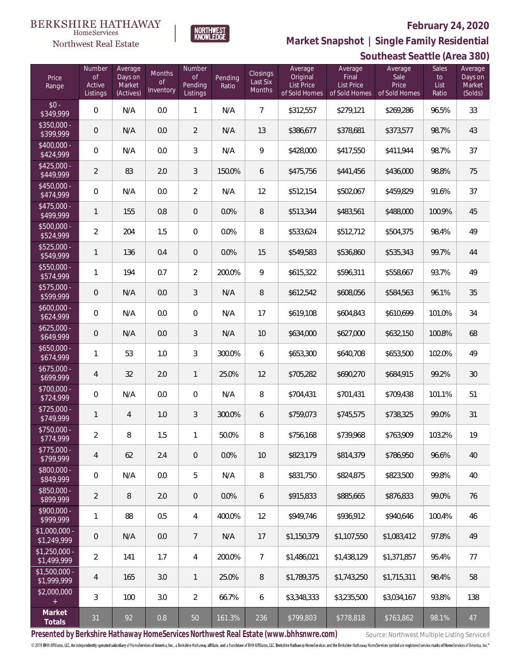

**Market Snapshot | Single Family Residential**

## $\label{lem:sevices} \textsc{Home} \textsc{Service} \textsc{s}$ Northwest Real Estate

|                               | Southeast Seattle (Area 380)              |                                           |                                      |                                            |                  |                                |                                                           |                                                        |                                           |                              |                                         |
|-------------------------------|-------------------------------------------|-------------------------------------------|--------------------------------------|--------------------------------------------|------------------|--------------------------------|-----------------------------------------------------------|--------------------------------------------------------|-------------------------------------------|------------------------------|-----------------------------------------|
| Price<br>Range                | Number<br><b>of</b><br>Active<br>Listings | Average<br>Days on<br>Market<br>(Actives) | Months<br>$\mathsf{of}$<br>Inventory | Number<br><b>of</b><br>Pending<br>Listings | Pending<br>Ratio | Closings<br>Last Six<br>Months | Average<br>Original<br><b>List Price</b><br>of Sold Homes | Average<br>Final<br><b>List Price</b><br>of Sold Homes | Average<br>Sale<br>Price<br>of Sold Homes | Sales<br>to<br>List<br>Ratio | Average<br>Days on<br>Market<br>(Solds) |
| $$0 -$<br>\$349,999           | $\overline{0}$                            | N/A                                       | 0.0                                  | $\mathbf{1}$                               | N/A              | $\overline{7}$                 | \$312,557                                                 | \$279,121                                              | \$269,286                                 | 96.5%                        | 33                                      |
| $$350,000 -$<br>\$399,999     | $\mathsf{O}\xspace$                       | N/A                                       | 0.0                                  | $\overline{2}$                             | N/A              | 13                             | \$386,677                                                 | \$378,681                                              | \$373,577                                 | 98.7%                        | 43                                      |
| $$400,000 -$<br>\$424,999     | $\overline{0}$                            | N/A                                       | 0.0                                  | $\mathfrak{Z}$                             | N/A              | 9                              | \$428,000                                                 | \$417,550                                              | \$411,944                                 | 98.7%                        | 37                                      |
| $$425,000 -$<br>\$449,999     | 2                                         | 83                                        | 2.0                                  | 3                                          | 150.0%           | 6                              | \$475,756                                                 | \$441,456                                              | \$436,000                                 | 98.8%                        | 75                                      |
| $$450,000 -$<br>\$474,999     | $\overline{0}$                            | N/A                                       | 0.0                                  | $\overline{2}$                             | N/A              | 12                             | \$512,154                                                 | \$502,067                                              | \$459,829                                 | 91.6%                        | 37                                      |
| $$475,000 -$<br>\$499,999     | 1                                         | 155                                       | 0.8                                  | $\theta$                                   | 0.0%             | 8                              | \$513,344                                                 | \$483,561                                              | \$488,000                                 | 100.9%                       | 45                                      |
| $$500,000 -$<br>\$524,999     | $\overline{2}$                            | 204                                       | 1.5                                  | $\boldsymbol{0}$                           | 0.0%             | 8                              | \$533,624                                                 | \$512,712                                              | \$504,375                                 | 98.4%                        | 49                                      |
| $$525,000 -$<br>\$549,999     | $\mathbf{1}$                              | 136                                       | 0.4                                  | $\theta$                                   | 0.0%             | 15                             | \$549,583                                                 | \$536,860                                              | \$535,343                                 | 99.7%                        | 44                                      |
| $$550,000 -$<br>\$574,999     | 1                                         | 194                                       | 0.7                                  | $\overline{2}$                             | 200.0%           | 9                              | \$615,322                                                 | \$596,311                                              | \$558,667                                 | 93.7%                        | 49                                      |
| $$575,000 -$<br>\$599,999     | $\mathsf{O}\xspace$                       | N/A                                       | 0.0                                  | 3                                          | N/A              | 8                              | \$612,542                                                 | \$608,056                                              | \$584,563                                 | 96.1%                        | 35                                      |
| $$600,000 -$<br>\$624,999     | $\overline{0}$                            | N/A                                       | 0.0                                  | $\boldsymbol{0}$                           | N/A              | 17                             | \$619,108                                                 | \$604,843                                              | \$610,699                                 | 101.0%                       | 34                                      |
| $$625,000 -$<br>\$649,999     | $\mathsf{O}\xspace$                       | N/A                                       | 0.0                                  | 3                                          | N/A              | 10                             | \$634,000                                                 | \$627,000                                              | \$632,150                                 | 100.8%                       | 68                                      |
| $$650,000 -$<br>\$674,999     | 1                                         | 53                                        | 1.0                                  | 3                                          | 300.0%           | 6                              | \$653,300                                                 | \$640,708                                              | \$653,500                                 | 102.0%                       | 49                                      |
| $$675,000 -$<br>\$699,999     | 4                                         | 32                                        | 2.0                                  | $\mathbf{1}$                               | 25.0%            | 12                             | \$705,282                                                 | \$690,270                                              | \$684,915                                 | 99.2%                        | $30\,$                                  |
| \$700,000 -<br>\$724,999      | $\overline{0}$                            | N/A                                       | 0.0                                  | 0                                          | N/A              | 8                              | \$704,431                                                 | \$701,431                                              | \$709,438                                 | 101.1%                       | 51                                      |
| $$725,000 -$<br>\$749,999     | 1                                         | $\overline{4}$                            | 1.0                                  | 3                                          | 300.0%           | 6                              | \$759,073                                                 | \$745,575                                              | \$738,325                                 | 99.0%                        | 31                                      |
| \$750,000 -<br>\$774,999      | 2                                         | 8                                         | 1.5                                  | $\mathbf{1}$                               | 50.0%            | 8                              | \$756,168                                                 | \$739,968                                              | \$763,909                                 | 103.2%                       | 19                                      |
| $$775,000 -$<br>\$799,999     | 4                                         | 62                                        | 2.4                                  | $\overline{0}$                             | 0.0%             | 10                             | \$823,179                                                 | \$814,379                                              | \$786,950                                 | 96.6%                        | 40                                      |
| \$800,000 -<br>\$849,999      | $\mathbf{0}$                              | N/A                                       | 0.0                                  | 5                                          | N/A              | 8                              | \$831,750                                                 | \$824,875                                              | \$823,500                                 | 99.8%                        | 40                                      |
| \$850,000 -<br>\$899,999      | 2                                         | 8                                         | 2.0                                  | $\theta$                                   | 0.0%             | 6                              | \$915,833                                                 | \$885,665                                              | \$876,833                                 | 99.0%                        | 76                                      |
| $$900,000 -$<br>\$999,999     | 1                                         | 88                                        | 0.5                                  | $\overline{4}$                             | 400.0%           | 12                             | \$949,746                                                 | \$936,912                                              | \$940,646                                 | 100.4%                       | 46                                      |
| $$1,000,000 -$<br>\$1,249,999 | $\overline{0}$                            | N/A                                       | 0.0                                  | $\overline{7}$                             | N/A              | 17                             | \$1,150,379                                               | \$1,107,550                                            | \$1,083,412                               | 97.8%                        | 49                                      |
| $$1,250,000 -$<br>\$1,499,999 | $\overline{2}$                            | 141                                       | 1.7                                  | $\overline{4}$                             | 200.0%           | $\overline{7}$                 | \$1,486,021                                               | \$1,438,129                                            | \$1,371,857                               | 95.4%                        | 77                                      |
| $$1,500,000 -$<br>\$1,999,999 | 4                                         | 165                                       | 3.0                                  | $\mathbf{1}$                               | 25.0%            | 8                              | \$1,789,375                                               | \$1,743,250                                            | \$1,715,311                               | 98.4%                        | 58                                      |
| \$2,000,000                   | 3                                         | 100                                       | 3.0                                  | $\overline{2}$                             | 66.7%            | 6                              | \$3,348,333                                               | \$3,235,500                                            | \$3,034,167                               | 93.8%                        | 138                                     |
| Market<br>Totals              | 31                                        | 92                                        | 0.8                                  | 50                                         | 161.3%           | 236                            | \$799,803                                                 | \$778,818                                              | \$763,862                                 | 98.1%                        | 47                                      |

Presented by Berkshire Hathaway HomeServices Northwest Real Estate (www.bhhsnwre.com) Source: Northwest Multiple Listing Service®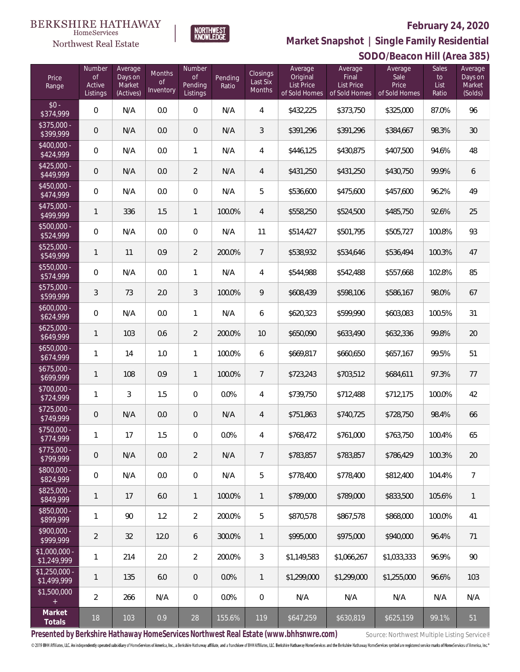

**SODO/Beacon Hill (Area 385) Market Snapshot | Single Family Residential**

### **BERKSHIRE HATHAWAY**  $\label{lem:sevices} \textsc{Home} \textsc{Service} \textsc{s}$ Northwest Real Estate

| Price<br>Range                | Number<br>0f<br>Active<br>Listings | Average<br>Days on<br>Market<br>(Actives) | Months<br><b>of</b><br>Inventory | Number<br><b>of</b><br>Pending<br>Listings | Pending<br>Ratio | <b>Closings</b><br>Last Six<br>Months | Average<br>Original<br>List Price<br>of Sold Homes | Average<br>Final<br><b>List Price</b><br>of Sold Homes | Average<br>Sale<br>Price<br>of Sold Homes | $\lambda$<br><b>Sales</b><br>to<br>List<br>Ratio | Average<br>Days on<br>Market<br>(Solds) |
|-------------------------------|------------------------------------|-------------------------------------------|----------------------------------|--------------------------------------------|------------------|---------------------------------------|----------------------------------------------------|--------------------------------------------------------|-------------------------------------------|--------------------------------------------------|-----------------------------------------|
| $$0 -$<br>\$374,999           | $\mathbf 0$                        | N/A                                       | 0.0                              | $\boldsymbol{0}$                           | N/A              | $\overline{4}$                        | \$432,225                                          | \$373,750                                              | \$325,000                                 | 87.0%                                            | 96                                      |
| \$375,000 -<br>\$399,999      | $\theta$                           | N/A                                       | 0.0                              | $\theta$                                   | N/A              | 3                                     | \$391,296                                          | \$391,296                                              | \$384,667                                 | 98.3%                                            | $30\,$                                  |
| \$400,000 -<br>\$424,999      | $\mathbf 0$                        | N/A                                       | 0.0                              | 1                                          | N/A              | $\overline{4}$                        | \$446,125                                          | \$430,875                                              | \$407,500                                 | 94.6%                                            | 48                                      |
| $$425,000 -$<br>\$449,999     | $\theta$                           | N/A                                       | 0.0                              | $\overline{2}$                             | N/A              | 4                                     | \$431,250                                          | \$431,250                                              | \$430,750                                 | 99.9%                                            | 6                                       |
| \$450,000 -<br>\$474,999      | $\mathbf 0$                        | N/A                                       | 0.0                              | $\boldsymbol{0}$                           | N/A              | 5                                     | \$536,600                                          | \$475,600                                              | \$457,600                                 | 96.2%                                            | 49                                      |
| \$475,000 -<br>\$499,999      | $\mathbf{1}$                       | 336                                       | 1.5                              | $\mathbf{1}$                               | 100.0%           | $\overline{4}$                        | \$558,250                                          | \$524,500                                              | \$485,750                                 | 92.6%                                            | 25                                      |
| \$500,000 -<br>\$524,999      | $\mathbf 0$                        | N/A                                       | 0.0                              | $\boldsymbol{0}$                           | N/A              | 11                                    | \$514,427                                          | \$501,795                                              | \$505,727                                 | 100.8%                                           | 93                                      |
| \$525,000 -<br>\$549,999      | 1                                  | 11                                        | 0.9                              | $\overline{2}$                             | 200.0%           | $\overline{7}$                        | \$538,932                                          | \$534,646                                              | \$536,494                                 | 100.3%                                           | 47                                      |
| \$550,000 -<br>\$574,999      | $\mathbf 0$                        | N/A                                       | 0.0                              | 1                                          | N/A              | $\overline{4}$                        | \$544,988                                          | \$542,488                                              | \$557,668                                 | 102.8%                                           | 85                                      |
| \$575,000 -<br>\$599,999      | $\mathfrak{Z}$                     | 73                                        | 2.0                              | 3                                          | 100.0%           | 9                                     | \$608,439                                          | \$598,106                                              | \$586,167                                 | 98.0%                                            | 67                                      |
| $$600,000 -$<br>\$624,999     | $\mathbf 0$                        | N/A                                       | 0.0                              | $\mathbf{1}$                               | N/A              | 6                                     | \$620,323                                          | \$599,990                                              | \$603,083                                 | 100.5%                                           | 31                                      |
| $$625,000 -$<br>\$649,999     | $\mathbf{1}$                       | 103                                       | 0.6                              | $\overline{2}$                             | 200.0%           | 10                                    | \$650,090                                          | \$633,490                                              | \$632,336                                 | 99.8%                                            | 20                                      |
| $$650,000 -$<br>\$674,999     | 1                                  | 14                                        | 1.0                              | $\mathbf{1}$                               | 100.0%           | 6                                     | \$669,817                                          | \$660,650                                              | \$657,167                                 | 99.5%                                            | 51                                      |
| $$675,000 -$<br>\$699,999     | $\mathbf{1}$                       | 108                                       | 0.9                              | $\mathbf{1}$                               | 100.0%           | $\overline{7}$                        | \$723,243                                          | \$703,512                                              | \$684,611                                 | 97.3%                                            | 77                                      |
| \$700,000 -<br>\$724,999      | 1                                  | 3                                         | 1.5                              | $\boldsymbol{0}$                           | 0.0%             | $\overline{4}$                        | \$739,750                                          | \$712,488                                              | \$712,175                                 | 100.0%                                           | 42                                      |
| $$725,000 -$<br>\$749,999     | $\theta$                           | N/A                                       | 0.0                              | $\theta$                                   | N/A              | $\overline{4}$                        | \$751,863                                          | \$740,725                                              | \$728,750                                 | 98.4%                                            | 66                                      |
| \$750,000 -<br>\$774,999      | 1                                  | 17                                        | 1.5                              | 0                                          | 0.0%             | 4                                     | \$768,472                                          | \$761,000                                              | \$763,750                                 | 100.4%                                           | 65                                      |
| $$775,000 -$<br>\$799,999     | $\mathbf 0$                        | N/A                                       | 0.0                              | $\overline{2}$                             | N/A              | $\overline{7}$                        | \$783,857                                          | \$783,857                                              | \$786,429                                 | 100.3%                                           | 20                                      |
| \$800,000 -<br>\$824,999      | $\mathbf 0$                        | N/A                                       | 0.0                              | $\boldsymbol{0}$                           | N/A              | 5                                     | \$778,400                                          | \$778,400                                              | \$812,400                                 | 104.4%                                           | 7                                       |
| $$825,000 -$<br>\$849,999     | 1                                  | 17                                        | 6.0                              | $\mathbf{1}$                               | 100.0%           | $\mathbf{1}$                          | \$789,000                                          | \$789,000                                              | \$833,500                                 | 105.6%                                           | 1                                       |
| \$850,000 -<br>\$899,999      | $\mathbf{1}$                       | 90                                        | 1.2                              | $\overline{2}$                             | 200.0%           | 5                                     | \$870,578                                          | \$867,578                                              | \$868,000                                 | 100.0%                                           | 41                                      |
| \$900,000 -<br>\$999,999      | $\overline{2}$                     | 32                                        | 12.0                             | 6                                          | 300.0%           | $\mathbf{1}$                          | \$995,000                                          | \$975,000                                              | \$940,000                                 | 96.4%                                            | 71                                      |
| $$1,000,000 -$<br>\$1,249,999 | 1                                  | 214                                       | 2.0                              | $\overline{2}$                             | 200.0%           | $\mathfrak{Z}$                        | \$1,149,583                                        | \$1,066,267                                            | \$1,033,333                               | 96.9%                                            | 90                                      |
| $$1,250,000 -$<br>\$1,499,999 | 1                                  | 135                                       | 6.0                              | $\overline{0}$                             | 0.0%             | $\mathbb{1}$                          | \$1,299,000                                        | \$1,299,000                                            | \$1,255,000                               | 96.6%                                            | 103                                     |
| \$1,500,000<br>$\pm$          | $\overline{2}$                     | 266                                       | N/A                              | $\mathbf 0$                                | 0.0%             | $\mathbf 0$                           | N/A                                                | N/A                                                    | N/A                                       | N/A                                              | N/A                                     |
| Market<br>Totals              | 18                                 | 103                                       | 0.9                              | 28                                         | 155.6%           | 119                                   | \$647,259                                          | \$630,819                                              | \$625,159                                 | 99.1%                                            | 51                                      |

Presented by Berkshire Hathaway HomeServices Northwest Real Estate (www.bhhsnwre.com) Source: Northwest Multiple Listing Service®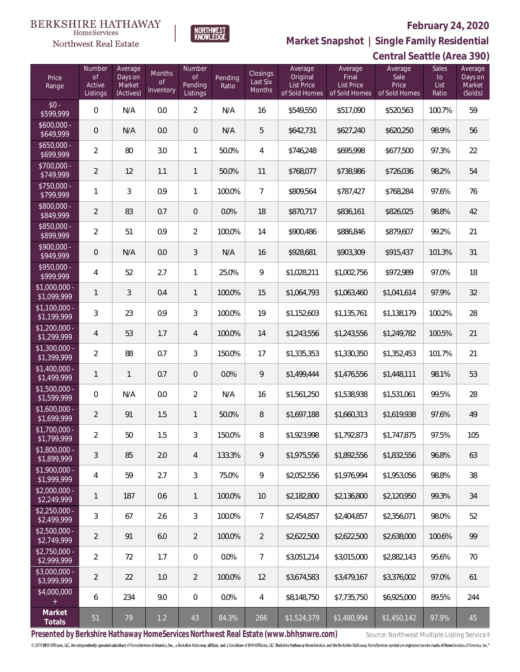

HomeServices

**Market Snapshot | Single Family Residential**

#### **Northwest Real Estate Central Seattle (Area 390)** Number Average Number Average Average Average Sales Average Months Closings Days on Final Sale Price of of Pending Original to Days on of Last Six Pending List Price List Price Price Active Market Ratio List Market Range **Inventory** Months of Sold Homes Listings (Actives) Listings of Sold Homes of Sold Homes Ratio (Solds)  $$0 - $99$ \$599,999 0 N/A 0.0 2 N/A 16 \$549,550 \$517,090 \$520,563 100.7% 59 \$600,000<br>\$649,999 \$649,999 0 N/A 0.0 0 N/A 5 \$642,731 \$627,240 \$620,250 98.9% 56 \$650,000<br>\$699.999 \$699,999 <sup>2</sup> <sup>80</sup> 3.0 <sup>1</sup> 50.0% <sup>4</sup> \$746,248 \$695,998 \$677,500 97.3% <sup>22</sup> \$700,000 \$749,999 <sup>2</sup> <sup>12</sup> 1.1 <sup>1</sup> 50.0% <sup>11</sup> \$768,077 \$738,986 \$726,036 98.2% <sup>54</sup> \$750,000<br>\$799,999 \$799,999 <sup>1</sup> <sup>3</sup> 0.9 <sup>1</sup> 100.0% <sup>7</sup> \$809,564 \$787,427 \$768,284 97.6% <sup>76</sup> \$800,000 -<br>\$849,999  $\left[3849,999\right]$  2 83 0.7 0 0.0% 18  $\left[3870,717\right]$   $\left[3836,161\right]$   $\left[3826,025\right]$  98.8% 42 \$850,000<br>\$899,999 \$899,999 <sup>2</sup> <sup>51</sup> 0.9 <sup>2</sup> 100.0% <sup>14</sup> \$900,486 \$886,846 \$879,607 99.2% <sup>21</sup> \$900,000 \$949,999 <sup>0</sup> N/A 0.0 <sup>3</sup> N/A <sup>16</sup> \$928,681 \$903,309 \$915,437 101.3% <sup>31</sup> \$950,000 \$999,999 <sup>4</sup> <sup>52</sup> 2.7 <sup>1</sup> 25.0% <sup>9</sup> \$1,028,211 \$1,002,756 \$972,989 97.0% <sup>18</sup> \$1,000,000 -<br>\$1,099,999 \$1,099,999 <sup>1</sup> <sup>3</sup> 0.4 <sup>1</sup> 100.0% <sup>15</sup> \$1,064,793 \$1,063,460 \$1,041,614 97.9% <sup>32</sup> \$1,100,000 -<br>\$1,199,999 \$1,199,999 <sup>3</sup> <sup>23</sup> 0.9 <sup>3</sup> 100.0% <sup>19</sup> \$1,152,603 \$1,135,761 \$1,138,179 100.2% <sup>28</sup> \$1,200,000 -<br>\$1,299,999 \$1,299,999 <sup>4</sup> <sup>53</sup> 1.7 <sup>4</sup> 100.0% <sup>14</sup> \$1,243,556 \$1,243,556 \$1,249,782 100.5% <sup>21</sup> \$1,300,000 -  $\textcolor{red}{\mathbf{[339,999]}} \quad \textcolor{red}{\mathbf{[33}}} \quad \textcolor{red}{\mathbf{[338,353]}} \quad \textcolor{red}{\mathbf{[31,335,353]}} \quad \textcolor{red}{\mathbf{[31,330,350]}} \quad \textcolor{red}{\mathbf{[31,352,453]}} \quad \textcolor{red}{\mathbf{[101.7\%}} \quad \textcolor{red}{\mathbf{[21,330]}} \quad \textcolor{red}{\mathbf{[31,330]}} \quad \textcolor{red}{\mathbf{[31,352,453]$ \$1,400,000 - \$1,499,999 <sup>1</sup> <sup>1</sup> 0.7 <sup>0</sup> 0.0% <sup>9</sup> \$1,499,444 \$1,476,556 \$1,448,111 98.1% <sup>53</sup> \$1,500,000 - \$1,599,999 0 N/A 0.0 2 N/A 16 \$1,561,250 \$1,538,938 \$1,531,061 99.5% 28 \$1,600,000 - \$1,699,999 <sup>2</sup> <sup>91</sup> 1.5 <sup>1</sup> 50.0% <sup>8</sup> \$1,697,188 \$1,660,313 \$1,619,938 97.6% <sup>49</sup> \$1,700,000<br>\$1,799,999  $\textcolor{red}{\mathbf{[31,799,999}}}$  2 50 1.5 3 150.0% 8 \$1,923,998 \$1,792,873 \$1,747,875 97.5% 105 \$1,800,000<br>\$1,899,999

| \$1,999,999                   | 4              | 59  | 2.7 | 3              | 75.0%   | 9              | \$2,052,556 | \$1,976,994 | \$1,953,056 | 98.8%  | 38  |
|-------------------------------|----------------|-----|-----|----------------|---------|----------------|-------------|-------------|-------------|--------|-----|
| $$2,000,000 -$<br>\$2,249,999 |                | 187 | 0.6 |                | 100.0%  | 10             | \$2,182,800 | \$2,136,800 | \$2,120,950 | 99.3%  | 34  |
| $$2.250.000 -$<br>\$2,499,999 | 3              | 67  | 2.6 | 3              | 100.0%  | $7^{\circ}$    | \$2,454,857 | \$2,404,857 | \$2,356,071 | 98.0%  | 52  |
| $$2,500,000 -$<br>\$2,749,999 | $\mathfrak{D}$ | 91  | 6.0 | $\overline{2}$ | 100.0%  | $\mathcal{P}$  | \$2,622,500 | \$2,622,500 | \$2,638,000 | 100.6% | 99  |
| $$2,750,000 -$<br>\$2,999,999 | 2              | 72  | 1.7 | $\Omega$       | $0.0\%$ | $\overline{7}$ | \$3.051.214 | \$3.015.000 | \$2,882,143 | 95.6%  | 70  |
| $$3,000,000 -$<br>\$3,999,999 | $\mathfrak{D}$ | 22  | 1.0 | $\mathcal{P}$  | 100.0%  | 12             | \$3.674.583 | \$3,479,167 | \$3,376,002 | 97.0%  | 61  |
| \$4,000,000<br>$+$            | 6              | 234 | 9.0 | $\overline{0}$ | 0.0%    | 4              | \$8,148,750 | \$7.735.750 | \$6,925,000 | 89.5%  | 244 |
| Market<br>Totals              | 51             | 79  | 1.2 | 43             | 84.3%   | 266            | \$1,524,379 | \$1,480,994 | \$1,450,142 | 97.9%  | 45  |

\$1,899,999 <sup>3</sup> <sup>85</sup> 2.0 <sup>4</sup> 133.3% <sup>9</sup> \$1,975,556 \$1,892,556 \$1,832,556 96.8% <sup>63</sup>

**Presented by Berkshire Hathaway HomeServices Northwest Real Estate (www.bhhsnwre.com)** Source: Northwest Multiple Listing Service®

\$1,900,000 -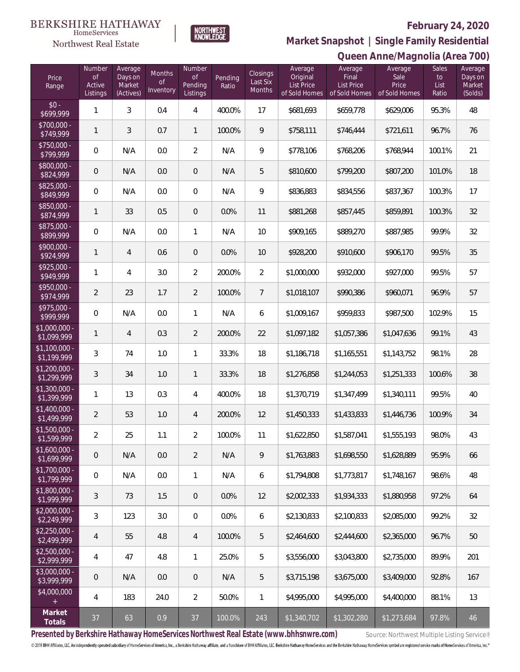### **BERKSHIRE HATHAWAY**  $\label{lem:sevices} \textsc{Home} \textsc{Service} \textsc{s}$

# Northwest Real Estate



# **February 24, 2020**

**Market Snapshot | Single Family Residential**

|                               |                                           |                                           |                                  |                                            |                  |                                |                                                    |                                                        | Queen Anne/Magnolia (Area 700)            |                              |                                         |
|-------------------------------|-------------------------------------------|-------------------------------------------|----------------------------------|--------------------------------------------|------------------|--------------------------------|----------------------------------------------------|--------------------------------------------------------|-------------------------------------------|------------------------------|-----------------------------------------|
| Price<br>Range                | Number<br><b>of</b><br>Active<br>Listings | Average<br>Days on<br>Market<br>(Actives) | Months<br><b>of</b><br>Inventory | Number<br><b>of</b><br>Pending<br>Listings | Pending<br>Ratio | Closings<br>Last Six<br>Months | Average<br>Original<br>List Price<br>of Sold Homes | Average<br>Final<br><b>List Price</b><br>of Sold Homes | Average<br>Sale<br>Price<br>of Sold Homes | Sales<br>to<br>List<br>Ratio | Average<br>Days on<br>Market<br>(Solds) |
| $$0 -$<br>\$699,999           | $\mathbf{1}$                              | 3                                         | 0.4                              | $\overline{4}$                             | 400.0%           | 17                             | \$681,693                                          | \$659,778                                              | \$629,006                                 | 95.3%                        | 48                                      |
| \$700,000 -<br>\$749,999      | $\mathbf{1}$                              | 3                                         | 0.7                              | $\mathbf{1}$                               | 100.0%           | 9                              | \$758,111                                          | \$746,444                                              | \$721,611                                 | 96.7%                        | 76                                      |
| \$750,000 -<br>\$799,999      | $\overline{0}$                            | N/A                                       | 0.0                              | $\overline{2}$                             | N/A              | $\mathsf q$                    | \$778,106                                          | \$768,206                                              | \$768,944                                 | 100.1%                       | 21                                      |
| \$800,000 -<br>\$824,999      | $\mathsf{O}\xspace$                       | N/A                                       | 0.0                              | $\mathbf 0$                                | N/A              | 5                              | \$810,600                                          | \$799,200                                              | \$807,200                                 | 101.0%                       | 18                                      |
| $$825,000 -$<br>\$849,999     | $\overline{0}$                            | N/A                                       | 0.0                              | $\,0\,$                                    | N/A              | $\mathsf q$                    | \$836,883                                          | \$834,556                                              | \$837,367                                 | 100.3%                       | 17                                      |
| \$850,000 -<br>\$874,999      | 1                                         | 33                                        | 0.5                              | $\mathbf 0$                                | 0.0%             | 11                             | \$881,268                                          | \$857,445                                              | \$859,891                                 | 100.3%                       | 32                                      |
| $$875,000 -$<br>\$899,999     | $\overline{0}$                            | N/A                                       | 0.0                              | $\mathbf{1}$                               | N/A              | 10                             | \$909,165                                          | \$889,270                                              | \$887,985                                 | 99.9%                        | 32                                      |
| $$900,000 -$<br>\$924,999     | 1                                         | 4                                         | 0.6                              | $\overline{0}$                             | 0.0%             | 10                             | \$928,200                                          | \$910,600                                              | \$906,170                                 | 99.5%                        | 35                                      |
| $$925,000 -$<br>\$949,999     | 1                                         | 4                                         | 3.0                              | $\overline{2}$                             | 200.0%           | $\overline{2}$                 | \$1,000,000                                        | \$932,000                                              | \$927,000                                 | 99.5%                        | 57                                      |
| $$950,000 -$<br>\$974,999     | $\overline{2}$                            | 23                                        | 1.7                              | $\overline{2}$                             | 100.0%           | $7\overline{ }$                | \$1,018,107                                        | \$990,386                                              | \$960,071                                 | 96.9%                        | 57                                      |
| $$975,000 -$<br>\$999,999     | $\mathbf 0$                               | N/A                                       | 0.0                              | $\mathbf{1}$                               | N/A              | 6                              | \$1,009,167                                        | \$959,833                                              | \$987,500                                 | 102.9%                       | 15                                      |
| $$1,000,000 -$<br>\$1,099,999 | 1                                         | 4                                         | 0.3                              | $\overline{2}$                             | 200.0%           | 22                             | \$1,097,182                                        | \$1,057,386                                            | \$1,047,636                               | 99.1%                        | 43                                      |
| $$1,100,000$ -<br>\$1,199,999 | 3                                         | 74                                        | 1.0                              | $\mathbf{1}$                               | 33.3%            | 18                             | \$1,186,718                                        | \$1,165,551                                            | \$1,143,752                               | 98.1%                        | 28                                      |
| $$1,200,000 -$<br>\$1,299,999 | 3                                         | 34                                        | 1.0                              | 1                                          | 33.3%            | 18                             | \$1,276,858                                        | \$1,244,053                                            | \$1,251,333                               | 100.6%                       | 38                                      |
| $$1,300,000 -$<br>\$1,399,999 | 1                                         | 13                                        | 0.3                              | $\overline{4}$                             | 400.0%           | 18                             | \$1,370,719                                        | \$1,347,499                                            | \$1,340,111                               | 99.5%                        | $40\,$                                  |
| $$1,400,000$ -<br>\$1,499,999 | $\overline{2}$                            | 53                                        | 1.0                              | 4                                          | 200.0%           | 12                             | \$1,450,333                                        | \$1,433,833                                            | \$1,446,736                               | 100.9%                       | 34                                      |
| \$1,500,000<br>\$1,599,999    | 2                                         | 25                                        | 1.1                              | 2                                          | 100.0%           | 11                             | \$1,622,850                                        | \$1,587,041                                            | \$1,555,193                               | 98.0%                        | 43                                      |
| $$1,600,000 -$<br>\$1,699,999 | $\overline{0}$                            | N/A                                       | 0.0                              | $\overline{2}$                             | N/A              | 9                              | \$1,763,883                                        | \$1,698,550                                            | \$1,628,889                               | 95.9%                        | 66                                      |
| $$1,700,000 -$<br>\$1,799,999 | $\mathbf{0}$                              | N/A                                       | 0.0                              | $\mathbf{1}$                               | N/A              | 6                              | \$1,794,808                                        | \$1,773,817                                            | \$1,748,167                               | 98.6%                        | 48                                      |
| $$1,800,000 -$<br>\$1,999,999 | 3                                         | 73                                        | 1.5                              | $\overline{0}$                             | 0.0%             | 12                             | \$2,002,333                                        | \$1,934,333                                            | \$1,880,958                               | 97.2%                        | 64                                      |
| $$2.000.000 -$<br>\$2,249,999 | 3                                         | 123                                       | 3.0                              | $\overline{0}$                             | 0.0%             | 6                              | \$2,130,833                                        | \$2,100,833                                            | \$2,085,000                               | 99.2%                        | 32                                      |
| $$2,250,000 -$<br>\$2,499,999 | 4                                         | 55                                        | 4.8                              | $\overline{4}$                             | 100.0%           | 5                              | \$2,464,600                                        | \$2,444,600                                            | \$2,365,000                               | 96.7%                        | 50                                      |
| $$2,500,000 -$<br>\$2,999,999 | 4                                         | 47                                        | 4.8                              | $\mathbf{1}$                               | 25.0%            | 5                              | \$3,556,000                                        | \$3,043,800                                            | \$2,735,000                               | 89.9%                        | 201                                     |
| $$3.000.000 -$<br>\$3,999,999 | $\overline{0}$                            | N/A                                       | 0.0                              | $\overline{0}$                             | N/A              | 5                              | \$3,715,198                                        | \$3,675,000                                            | \$3,409,000                               | 92.8%                        | 167                                     |
| \$4,000,000<br>$+$            | 4                                         | 183                                       | 24.0                             | $\overline{2}$                             | 50.0%            | 1                              | \$4,995,000                                        | \$4,995,000                                            | \$4,400,000                               | 88.1%                        | 13                                      |
| Market<br>Totals              | 37                                        | 63                                        | 0.9                              | 37                                         | 100.0%           | 243                            | \$1,340,702                                        | \$1,302,280                                            | \$1,273,684                               | 97.8%                        | 46                                      |

Presented by Berkshire Hathaway HomeServices Northwest Real Estate (www.bhhsnwre.com) Source: Northwest Multiple Listing Service®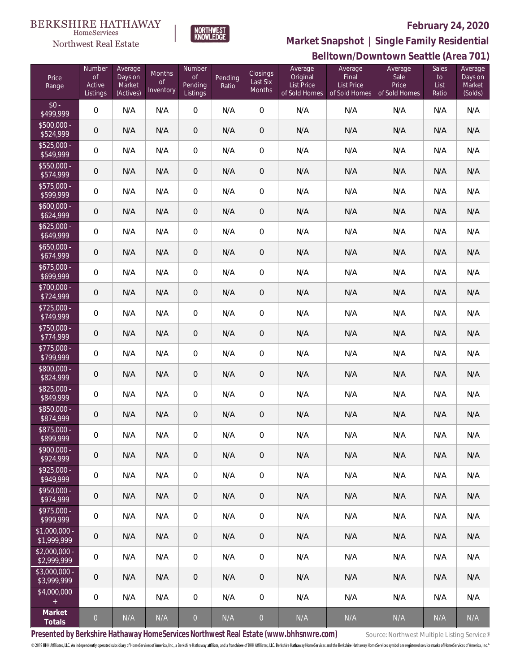

 $\label{lem:sevices} \textsc{Home} \textsc{Service} \textsc{s}$ 

**Belltown/Downtown Seattle (Area 701) Market Snapshot | Single Family Residential**

|                               |                                    |                                           |                                      |                                            |                  |                                |                                                    |                                                        | DEIITOWIT/DOWITIOWIT SEATTIE (ALEA 701)   |                                     |                                         |
|-------------------------------|------------------------------------|-------------------------------------------|--------------------------------------|--------------------------------------------|------------------|--------------------------------|----------------------------------------------------|--------------------------------------------------------|-------------------------------------------|-------------------------------------|-----------------------------------------|
| Price<br>Range                | Number<br>of<br>Active<br>Listings | Average<br>Days on<br>Market<br>(Actives) | Months<br>$\mathsf{of}$<br>Inventory | Number<br><b>of</b><br>Pending<br>Listings | Pending<br>Ratio | Closings<br>Last Six<br>Months | Average<br>Original<br>List Price<br>of Sold Homes | Average<br>Final<br><b>List Price</b><br>of Sold Homes | Average<br>Sale<br>Price<br>of Sold Homes | <b>Sales</b><br>to<br>List<br>Ratio | Average<br>Days on<br>Market<br>(Solds) |
| $$0 -$<br>\$499,999           | 0                                  | N/A                                       | N/A                                  | $\overline{0}$                             | N/A              | 0                              | N/A                                                | N/A                                                    | N/A                                       | N/A                                 | N/A                                     |
| $$500,000 -$<br>\$524,999     | $\theta$                           | N/A                                       | N/A                                  | $\mathbf 0$                                | N/A              | $\mathbf 0$                    | N/A                                                | N/A                                                    | N/A                                       | N/A                                 | N/A                                     |
| $$525,000 -$<br>\$549,999     | 0                                  | N/A                                       | N/A                                  | $\mathbf 0$                                | N/A              | $\mathbf 0$                    | N/A                                                | N/A                                                    | N/A                                       | N/A                                 | N/A                                     |
| $$550.000 -$<br>\$574,999     | $\theta$                           | N/A                                       | N/A                                  | $\mathbf 0$                                | N/A              | $\mathbf 0$                    | N/A                                                | N/A                                                    | N/A                                       | N/A                                 | N/A                                     |
| $$575,000 -$<br>\$599,999     | 0                                  | N/A                                       | N/A                                  | $\mathbf 0$                                | N/A              | $\mathbf 0$                    | N/A                                                | N/A                                                    | N/A                                       | N/A                                 | N/A                                     |
| $$600,000 -$<br>\$624,999     | $\mathbf 0$                        | N/A                                       | N/A                                  | $\mathbf 0$                                | N/A              | $\mathbf 0$                    | N/A                                                | N/A                                                    | N/A                                       | N/A                                 | N/A                                     |
| $$625,000 -$<br>\$649,999     | 0                                  | N/A                                       | N/A                                  | $\mathbf 0$                                | N/A              | $\mathbf 0$                    | N/A                                                | N/A                                                    | N/A                                       | N/A                                 | N/A                                     |
| $$650,000 -$<br>\$674,999     | $\mathbf 0$                        | N/A                                       | N/A                                  | $\mathbf 0$                                | N/A              | $\mathbf 0$                    | N/A                                                | N/A                                                    | N/A                                       | N/A                                 | N/A                                     |
| $$675,000 -$<br>\$699,999     | 0                                  | N/A                                       | N/A                                  | $\mathbf 0$                                | N/A              | $\mathbf 0$                    | N/A                                                | N/A                                                    | N/A                                       | N/A                                 | N/A                                     |
| \$700,000 -<br>\$724,999      | $\theta$                           | N/A                                       | N/A                                  | $\overline{0}$                             | N/A              | $\mathbf 0$                    | N/A                                                | N/A                                                    | N/A                                       | N/A                                 | N/A                                     |
| $$725,000 -$<br>\$749,999     | 0                                  | N/A                                       | N/A                                  | $\overline{0}$                             | N/A              | $\mathbf 0$                    | N/A                                                | N/A                                                    | N/A                                       | N/A                                 | N/A                                     |
| \$750,000 -<br>\$774,999      | $\mathbf 0$                        | N/A                                       | N/A                                  | $\mathbf 0$                                | N/A              | $\mathbf 0$                    | N/A                                                | N/A                                                    | N/A                                       | N/A                                 | N/A                                     |
| $$775,000 -$<br>\$799,999     | 0                                  | N/A                                       | N/A                                  | $\overline{0}$                             | N/A              | $\mathbf 0$                    | N/A                                                | N/A                                                    | N/A                                       | N/A                                 | N/A                                     |
| \$800,000 -<br>\$824,999      | 0                                  | N/A                                       | N/A                                  | $\overline{0}$                             | N/A              | $\mathbf 0$                    | N/A                                                | N/A                                                    | N/A                                       | N/A                                 | N/A                                     |
| $$825,000 -$<br>\$849,999     | 0                                  | N/A                                       | N/A                                  | $\overline{0}$                             | N/A              | $\mathbf 0$                    | N/A                                                | N/A                                                    | N/A                                       | N/A                                 | N/A                                     |
| \$850,000 -<br>\$874,999      | $\overline{0}$                     | N/A                                       | N/A                                  | $\overline{0}$                             | N/A              | $\mathbf 0$                    | N/A                                                | N/A                                                    | N/A                                       | N/A                                 | N/A                                     |
| \$875,000 -<br>\$899,999      | 0                                  | N/A                                       | N/A                                  | $\Omega$                                   | N/A              | 0                              | N/A                                                | N/A                                                    | N/A                                       | N/A                                 | N/A                                     |
| \$900,000 -<br>\$924,999      | $\overline{0}$                     | N/A                                       | N/A                                  | $\overline{0}$                             | N/A              | 0                              | N/A                                                | N/A                                                    | N/A                                       | N/A                                 | N/A                                     |
| \$925,000 -<br>\$949,999      | 0                                  | N/A                                       | N/A                                  | $\mathbf 0$                                | N/A              | 0                              | N/A                                                | N/A                                                    | N/A                                       | N/A                                 | N/A                                     |
| \$950,000 -<br>\$974,999      | 0                                  | N/A                                       | N/A                                  | $\overline{0}$                             | N/A              | 0                              | N/A                                                | N/A                                                    | N/A                                       | N/A                                 | N/A                                     |
| \$975,000 -<br>\$999,999      | 0                                  | N/A                                       | N/A                                  | $\mathbf 0$                                | N/A              | $\mathbf 0$                    | N/A                                                | N/A                                                    | N/A                                       | N/A                                 | N/A                                     |
| \$1,000,000 -<br>\$1,999,999  | 0                                  | N/A                                       | N/A                                  | $\overline{0}$                             | N/A              | 0                              | N/A                                                | N/A                                                    | N/A                                       | N/A                                 | N/A                                     |
| $$2,000,000 -$<br>\$2,999,999 | 0                                  | N/A                                       | N/A                                  | $\mathbf 0$                                | N/A              | 0                              | N/A                                                | N/A                                                    | N/A                                       | N/A                                 | N/A                                     |
| \$3,000,000 -<br>\$3,999,999  | 0                                  | N/A                                       | N/A                                  | $\overline{0}$                             | N/A              | 0                              | N/A                                                | N/A                                                    | N/A                                       | N/A                                 | N/A                                     |
| \$4,000,000<br>$\pm$          | 0                                  | N/A                                       | N/A                                  | $\mathbf 0$                                | N/A              | $\mathbf 0$                    | N/A                                                | N/A                                                    | N/A                                       | N/A                                 | N/A                                     |
| Market<br>Totals              | $\boldsymbol{0}$                   | N/A                                       | N/A                                  | $\mathbf 0$                                | N/A              | $\mathbf 0$                    | $\mathsf{N}/\mathsf{A}$                            | N/A                                                    | N/A                                       | N/A                                 | N/A                                     |

Presented by Berkshire Hathaway HomeServices Northwest Real Estate (www.bhhsnwre.com) Source: Northwest Multiple Listing Service®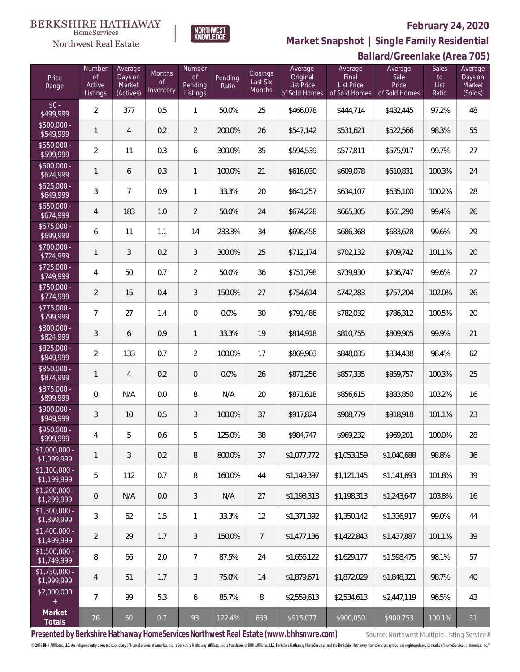

**BERKSHIRE HATHAWAY** 

 $\label{lem:sevices} \textsc{Home} \textsc{Service} \textsc{s}$ Northwest Real Estate

**Ballard/Greenlake (Area 705) Market Snapshot | Single Family Residential**

|                                      |                                           |                                           |                                  |                                            |                  |                                              |                                                           |                                                 | Dallal U/OI CCHIANG (ALCA 700)            |                                     |                                         |
|--------------------------------------|-------------------------------------------|-------------------------------------------|----------------------------------|--------------------------------------------|------------------|----------------------------------------------|-----------------------------------------------------------|-------------------------------------------------|-------------------------------------------|-------------------------------------|-----------------------------------------|
| Price<br>Range                       | Number<br><b>of</b><br>Active<br>Listings | Average<br>Days on<br>Market<br>(Actives) | Months<br><b>of</b><br>Inventory | Number<br><b>of</b><br>Pending<br>Listings | Pending<br>Ratio | <b>Closings</b><br>Last Six<br><b>Months</b> | Average<br>Original<br><b>List Price</b><br>of Sold Homes | Average<br>Final<br>List Price<br>of Sold Homes | Average<br>Sale<br>Price<br>of Sold Homes | <b>Sales</b><br>to<br>List<br>Ratio | Average<br>Days on<br>Market<br>(Solds) |
| $$0 -$<br>\$499,999                  | 2                                         | 377                                       | 0.5                              | $\mathbf{1}$                               | 50.0%            | 25                                           | \$466,078                                                 | \$444,714                                       | \$432,445                                 | 97.2%                               | 48                                      |
| $$500,000 -$<br>\$549,999            | $\mathbf{1}$                              | 4                                         | 0.2                              | $\overline{2}$                             | 200.0%           | 26                                           | \$547,142                                                 | \$531,621                                       | \$522,566                                 | 98.3%                               | 55                                      |
| $$550,000 -$<br>\$599,999            | $\overline{2}$                            | 11                                        | 0.3                              | 6                                          | 300.0%           | 35                                           | \$594,539                                                 | \$577,811                                       | \$575,917                                 | 99.7%                               | 27                                      |
| $$600,000 -$<br>\$624,999            | $\mathbf{1}$                              | 6                                         | 0.3                              | $\mathbf{1}$                               | 100.0%           | 21                                           | \$616,030                                                 | \$609,078                                       | \$610,831                                 | 100.3%                              | 24                                      |
| $$625,000 -$<br>\$649,999            | 3                                         | $\overline{7}$                            | 0.9                              | $\mathbf{1}$                               | 33.3%            | 20                                           | \$641,257                                                 | \$634,107                                       | \$635,100                                 | 100.2%                              | 28                                      |
| $$650,000 -$<br>\$674,999            | 4                                         | 183                                       | 1.0                              | $\overline{2}$                             | 50.0%            | 24                                           | \$674,228                                                 | \$665,305                                       | \$661,290                                 | 99.4%                               | 26                                      |
| $$675,000 -$<br>\$699,999            | 6                                         | 11                                        | 1.1                              | 14                                         | 233.3%           | 34                                           | \$698,458                                                 | \$686,368                                       | \$683,628                                 | 99.6%                               | 29                                      |
| $$700,000 -$<br>\$724,999            | 1                                         | 3                                         | 0.2                              | 3                                          | 300.0%           | 25                                           | \$712,174                                                 | \$702,132                                       | \$709,742                                 | 101.1%                              | $20\,$                                  |
| $$725,000 -$<br>\$749,999            | 4                                         | 50                                        | 0.7                              | $\overline{2}$                             | 50.0%            | 36                                           | \$751,798                                                 | \$739,930                                       | \$736,747                                 | 99.6%                               | 27                                      |
| \$750,000 -<br>\$774,999             | 2                                         | 15                                        | 0.4                              | 3                                          | 150.0%           | 27                                           | \$754,614                                                 | \$742,283                                       | \$757,204                                 | 102.0%                              | 26                                      |
| $$775,000 -$<br>\$799,999            | $\overline{7}$                            | 27                                        | 1.4                              | $\overline{0}$                             | 0.0%             | 30                                           | \$791,486                                                 | \$782,032                                       | \$786,312                                 | 100.5%                              | 20                                      |
| \$800,000 -<br>\$824,999             | 3                                         | 6                                         | 0.9                              | $\mathbf{1}$                               | 33.3%            | 19                                           | \$814,918                                                 | \$810,755                                       | \$809,905                                 | 99.9%                               | 21                                      |
| $$825,000 -$<br>\$849,999            | $\overline{2}$                            | 133                                       | 0.7                              | $\overline{2}$                             | 100.0%           | 17                                           | \$869,903                                                 | \$848,035                                       | \$834,438                                 | 98.4%                               | 62                                      |
| \$850,000 -<br>\$874,999             | 1                                         | 4                                         | 0.2                              | $\overline{0}$                             | 0.0%             | 26                                           | \$871,256                                                 | \$857,335                                       | \$859,757                                 | 100.3%                              | 25                                      |
| \$875,000 -<br>\$899,999             | $\mathbf 0$                               | N/A                                       | 0.0                              | 8                                          | N/A              | 20                                           | \$871,618                                                 | \$856,615                                       | \$883,850                                 | 103.2%                              | 16                                      |
| \$900,000 -<br>\$949,999             | 3                                         | 10                                        | 0.5                              | 3                                          | 100.0%           | 37                                           | \$917,824                                                 | \$908,779                                       | \$918,918                                 | 101.1%                              | 23                                      |
| \$950,000 -<br>\$999,999             | 4                                         | 5                                         | 0.6                              | 5                                          | 125.0%           | 38                                           | \$984,747                                                 | \$969,232                                       | \$969,201                                 | 100.0%                              | 28                                      |
| $$1,000,000 -$<br>$\sqrt{1,099,999}$ | $\mathbf{1}$                              | 3                                         | 0.2                              | $\, 8$                                     | 800.0%           | 37                                           | \$1,077,772                                               | \$1,053,159                                     | \$1,040,688                               | 98.8%                               | 36                                      |
| $$1,100,000 -$<br>\$1,199,999        | 5                                         | 112                                       | 0.7                              | $\, 8$                                     | 160.0%           | 44                                           | \$1,149,397                                               | \$1,121,145                                     | \$1,141,693                               | 101.8%                              | 39                                      |
| \$1,200,000 -<br>\$1,299,999         | $\overline{0}$                            | N/A                                       | 0.0                              | $\mathfrak{Z}$                             | N/A              | 27                                           | \$1,198,313                                               | \$1,198,313                                     | \$1,243,647                               | 103.8%                              | 16                                      |
| \$1,300,000 -<br>\$1,399,999         | 3                                         | 62                                        | 1.5                              | $\mathbf{1}$                               | 33.3%            | 12                                           | \$1,371,392                                               | \$1,350,142                                     | \$1,336,917                               | 99.0%                               | 44                                      |
| \$1,400,000 -<br>\$1,499,999         | $\overline{2}$                            | 29                                        | 1.7                              | $\mathfrak{Z}$                             | 150.0%           | $7\overline{ }$                              | \$1,477,136                                               | \$1,422,843                                     | \$1,437,887                               | 101.1%                              | 39                                      |
| $$1,500,000 -$<br>\$1,749,999        | $\, 8$                                    | 66                                        | 2.0                              | $\overline{7}$                             | 87.5%            | 24                                           | \$1,656,122                                               | \$1,629,177                                     | \$1,598,475                               | 98.1%                               | 57                                      |
| $$1,750,000 -$<br>\$1,999,999        | $\overline{4}$                            | 51                                        | 1.7                              | $\mathfrak{Z}$                             | 75.0%            | 14                                           | \$1,879,671                                               | \$1,872,029                                     | \$1,848,321                               | 98.7%                               | 40                                      |
| \$2,000,000<br>$+$                   | $\overline{7}$                            | 99                                        | 5.3                              | 6                                          | 85.7%            | 8                                            | \$2,559,613                                               | \$2,534,613                                     | \$2,447,119                               | 96.5%                               | 43                                      |
| Market<br>Totals                     | 76                                        | 60                                        | 0.7                              | 93                                         | 122.4%           | 633                                          | \$915,077                                                 | \$900,050                                       | \$900,753                                 | 100.1%                              | 31                                      |

Presented by Berkshire Hathaway HomeServices Northwest Real Estate (www.bhhsnwre.com) Source: Northwest Multiple Listing Service®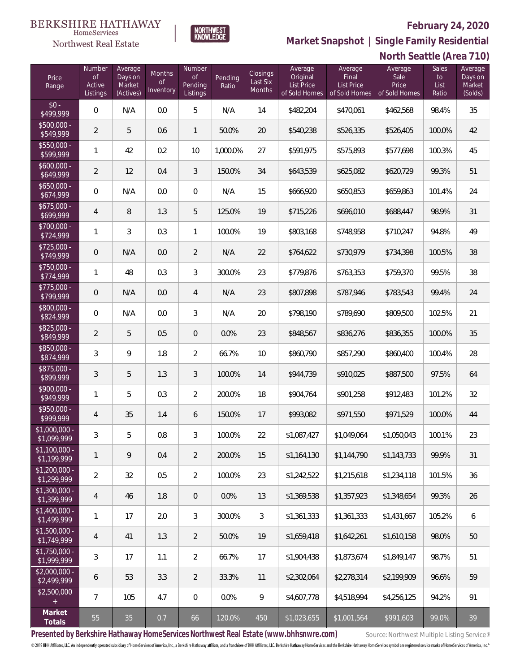Sales Average

**North Seattle (Area 710)**



Number

**Market Snapshot | Single Family Residential**

Average

Average

Average

#### **BERKSHIRE HATHAWAY NORTHWEST**<br>KNOWLEDGE HomeServices Northwest Real Estate

Number Average

 $\frac{$50}{$50}$ 

 $rac{1}{$55}\over{$55}$ 

 $\frac{$60}{$6}$ 

 $\frac{1}{6}$ <br> $\frac{1}{6}$ 

 $$67$ <br> $$6$ 

 $$80$ 

 $$82$ <br> $$8$ 

 $$85$ <br> $$8$ 

 $$87$ <br> $$8$ 

 $\frac{100}{90}$ 

 $$95$ 

 $\overline{\$1,C}$ 

 $$1,51,51,$ 

 $$1,2$ <br> $$1,2$ 

 $$1,3$ <br> $$1,3$ 

 $$1,4$ <br> $$1,4$ 

 $$1,5$ <br> $$1,7$ 

 $$1,7$ <br> $$1,7$ 

 $$2,0$ <br>\$2,4

 $$2,5$ 

| Price<br>Range               | $\mathsf{of}$<br>Active<br>Listings | Days on<br>Market<br>(Actives) | Months<br>Οf<br>Inventory | <b>of</b><br>Pending<br>Listings | Pending<br>Ratio | <b>Closings</b><br>Last Six<br>Months | Original<br>List Price<br>of Sold Homes | Final<br><b>List Price</b><br>of Sold Homes | Sale<br>Price<br>of Sold Homes | to<br>List<br>Ratio | Days on<br>Market<br>(Solds) |
|------------------------------|-------------------------------------|--------------------------------|---------------------------|----------------------------------|------------------|---------------------------------------|-----------------------------------------|---------------------------------------------|--------------------------------|---------------------|------------------------------|
| $$0 -$<br>\$499,999          | $\overline{0}$                      | N/A                            | 0.0                       | 5                                | N/A              | 14                                    | \$482,204                               | \$470,061                                   | \$462,568                      | 98.4%               | 35                           |
| $$500,000 -$<br>\$549,999    | $\overline{2}$                      | 5                              | 0.6                       | 1                                | 50.0%            | 20                                    | \$540,238                               | \$526,335                                   | \$526,405                      | 100.0%              | 42                           |
| \$550,000 -<br>\$599,999     | 1                                   | 42                             | 0.2                       | 10                               | 1,000.0%         | 27                                    | \$591,975                               | \$575,893                                   | \$577,698                      | 100.3%              | 45                           |
| $$600,000 -$<br>\$649,999    | $\overline{2}$                      | 12                             | 0.4                       | 3                                | 150.0%           | 34                                    | \$643,539                               | \$625,082                                   | \$620,729                      | 99.3%               | 51                           |
| $$650,000 -$<br>\$674,999    | $\overline{0}$                      | N/A                            | 0.0                       | 0                                | N/A              | 15                                    | \$666,920                               | \$650,853                                   | \$659,863                      | 101.4%              | 24                           |
| \$675,000 -<br>\$699,999     | $\overline{4}$                      | 8                              | 1.3                       | 5                                | 125.0%           | 19                                    | \$715,226                               | \$696,010                                   | \$688,447                      | 98.9%               | 31                           |
| \$700,000 -<br>\$724,999     | 1                                   | 3                              | 0.3                       | $\mathbf{1}$                     | 100.0%           | 19                                    | \$803,168                               | \$748,958                                   | \$710,247                      | 94.8%               | 49                           |
| $$725,000 -$<br>\$749,999    | $\mathsf{O}\xspace$                 | N/A                            | 0.0                       | $\overline{2}$                   | N/A              | 22                                    | \$764,622                               | \$730,979                                   | \$734,398                      | 100.5%              | 38                           |
| \$750,000 -<br>\$774,999     | 1                                   | 48                             | 0.3                       | 3                                | 300.0%           | 23                                    | \$779,876                               | \$763,353                                   | \$759,370                      | 99.5%               | 38                           |
| $$775,000 -$<br>\$799,999    | $\mathsf{O}\xspace$                 | N/A                            | 0.0                       | 4                                | N/A              | 23                                    | \$807,898                               | \$787,946                                   | \$783,543                      | 99.4%               | 24                           |
| \$800,000 -<br>\$824,999     | $\mathbf 0$                         | N/A                            | 0.0                       | 3                                | N/A              | 20                                    | \$798,190                               | \$789,690                                   | \$809,500                      | 102.5%              | 21                           |
| \$825,000 -<br>\$849,999     | $\overline{2}$                      | 5                              | 0.5                       | 0                                | 0.0%             | 23                                    | \$848,567                               | \$836,276                                   | \$836,355                      | 100.0%              | 35                           |
| \$850,000 -<br>\$874,999     | $\mathfrak{Z}$                      | 9                              | 1.8                       | $\overline{2}$                   | 66.7%            | 10                                    | \$860,790                               | \$857,290                                   | \$860,400                      | 100.4%              | 28                           |
| \$875,000 -<br>\$899,999     | 3                                   | 5                              | 1.3                       | 3                                | 100.0%           | 14                                    | \$944,739                               | \$910,025                                   | \$887,500                      | 97.5%               | 64                           |
| \$900,000 -<br>\$949,999     | $\mathbf{1}$                        | 5                              | 0.3                       | $\overline{2}$                   | 200.0%           | 18                                    | \$904,764                               | \$901,258                                   | \$912,483                      | 101.2%              | 32                           |
| \$950,000 -<br>\$999,999     | $\overline{4}$                      | 35                             | 1.4                       | 6                                | 150.0%           | 17                                    | \$993,082                               | \$971,550                                   | \$971,529                      | 100.0%              | 44                           |
| \$1,000,000 -<br>\$1,099,999 | $\mathfrak{Z}$                      | 5                              | 0.8                       | 3                                | 100.0%           | 22                                    | \$1,087,427                             | \$1,049,064                                 | \$1,050,043                    | 100.1%              | 23                           |
| \$1,100,000 -<br>\$1,199,999 | 1                                   | 9                              | 0.4                       | 2                                | 200.0%           | 15                                    | \$1,164,130                             | \$1,144,790                                 | \$1,143,733                    | 99.9%               | 31                           |
| \$1,200,000 -<br>\$1,299,999 | $\overline{2}$                      | 32                             | 0.5                       | $\overline{2}$                   | 100.0%           | 23                                    | \$1,242,522                             | \$1,215,618                                 | \$1,234,118                    | 101.5%              | 36                           |
| \$1,300,000 -<br>\$1,399,999 | 4                                   | 46                             | 1.8                       | 0                                | $0.0\%$          | 13                                    | \$1,369.538                             | \$1,357,923                                 | \$1,348,654                    | 99.3%               | 26                           |
| \$1,400,000 -<br>\$1,499,999 | 1                                   | 17                             | 2.0                       | 3                                | 300.0%           | $\mathfrak{Z}$                        | \$1.361.333                             | \$1,361,333                                 | \$1,431,667                    | 105.2%              | 6                            |
| \$1,500,000 -<br>\$1,749,999 | 4                                   | 41                             | 1.3                       | $\overline{2}$                   | 50.0%            | 19                                    | \$1,659,418                             | \$1,642,261                                 | \$1,610.158                    | 98.0%               | 50                           |
| \$1,750,000 -<br>\$1,999,999 | 3                                   | 17                             | 1.1                       | 2                                | 66.7%            | 17                                    | \$1,904,438                             | \$1,873,674                                 | \$1,849,147                    | 98.7%               | 51                           |
| \$2,000,000 -<br>\$2,499,999 | 6                                   | 53                             | 3.3                       | $\overline{2}$                   | 33.3%            | 11                                    | \$2,302,064                             | \$2,278,314                                 | \$2,199,909                    | 96.6%               | 59                           |
| \$2,500,000                  | $\overline{7}$                      | 105                            | 4.7                       | $\overline{0}$                   | 0.0%             | 9                                     | \$4,607,778                             | \$4,518,994                                 | \$4,256,125                    | 94.2%               | 91                           |
| Market<br>Totals             | 55                                  | 35                             | 0.7                       | 66                               | 120.0%           | 450                                   | \$1,023,655                             | \$1,001,564                                 | \$991,603                      | 99.0%               | 39                           |

Presented by Berkshire Hathaway HomeServices Northwest Real Estate (www.bhhsnwre.com) Source: Northwest Multiple Listing Service®